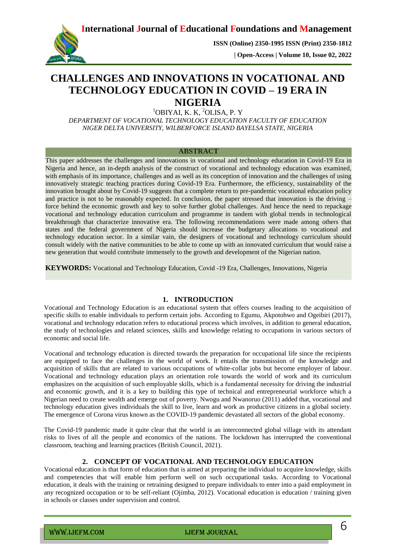**International Journal of Educational Foundations and Management**



**ISSN (Online) 2350-1995 ISSN (Print) 2350-1812** 

 **| Open-Access | Volume 10, Issue 02, 2022**

# **CHALLENGES AND INNOVATIONS IN VOCATIONAL AND TECHNOLOGY EDUCATION IN COVID – 19 ERA IN NIGERIA**

<sup>1</sup>OBIYAI, K. K, <sup>2</sup>OLISA, P. Y

*DEPARTMENT OF VOCATIONAL TECHNOLOGY EDUCATION FACULTY OF EDUCATION NIGER DELTA UNIVERSITY, WILBERFORCE ISLAND BAYELSA STATE, NIGERIA*

### **ABSTRACT**

This paper addresses the challenges and innovations in vocational and technology education in Covid-19 Era in Nigeria and hence, an in-depth analysis of the construct of vocational and technology education was examined, with emphasis of its importance, challenges and as well as its conception of innovation and the challenges of using innovatively strategic teaching practices during Covid-19 Era. Furthermore, the efficiency, sustainability of the innovation brought about by Covid-19 suggests that a complete return to pre-pandemic vocational education policy and practice is not to be reasonably expected. In conclusion, the paper stressed that innovation is the driving – force behind the economic growth and key to solve further global challenges. And hence the need to repackage vocational and technology education curriculum and programme in tandem with global trends in technological breakthrough that characterize innovative era. The following recommendations were made among others that states and the federal government of Nigeria should increase the budgetary allocations to vocational and technology education sector. In a similar vain, the designers of vocational and technology curriculum should consult widely with the native communities to be able to come up with an innovated curriculum that would raise a new generation that would contribute immensely to the growth and development of the Nigerian nation.

**KEYWORDS:** Vocational and Technology Education, Covid -19 Era, Challenges, Innovations, Nigeria

## **1. INTRODUCTION**

Vocational and Technology Education is an educational system that offers courses leading to the acquisition of specific skills to enable individuals to perform certain jobs. According to Egumu, Akpotohwo and Ogeibiri (2017), vocational and technology education refers to educational process which involves, in addition to general education, the study of technologies and related sciences, skills and knowledge relating to occupations in various sectors of economic and social life.

Vocational and technology education is directed towards the preparation for occupational life since the recipients are equipped to face the challenges in the world of work. It entails the transmission of the knowledge and acquisition of skills that are related to various occupations of white-collar jobs but become employer of labour. Vocational and technology education plays an orientation role towards the world of work and its curriculum emphasizes on the acquisition of such employable skills, which is a fundamental necessity for driving the industrial and economic growth, and it is a key to building this type of technical and entrepreneurial workforce which a Nigerian need to create wealth and emerge out of poverty. Nwogu and Nwanoruo (2011) added that, vocational and technology education gives individuals the skill to live, learn and work as productive citizens in a global society. The emergence of Corona virus known as the COVID-19 pandemic devastated all sectors of the global economy.

The Covid-19 pandemic made it quite clear that the world is an interconnected global village with its attendant risks to lives of all the people and economics of the nations. The lockdown has interrupted the conventional classroom, teaching and learning practices (British Council, 2021).

## **2. CONCEPT OF VOCATIONAL AND TECHNOLOGY EDUCATION**

Vocational education is that form of education that is aimed at preparing the individual to acquire knowledge, skills and competencies that will enable him perform well on such occupational tasks. According to Vocational education, it deals with the training or retraining designed to prepare individuals to enter into a paid employment in any recognized occupation or to be self-reliant (Ojimba, 2012). Vocational education is education / training given in schools or classes under supervision and control.

www.ijefm.com details are in the IJEFM JOURNAL COMPONER COMPUTER SERVICE SUPERVIEWS OF THE INTERNATION OF THE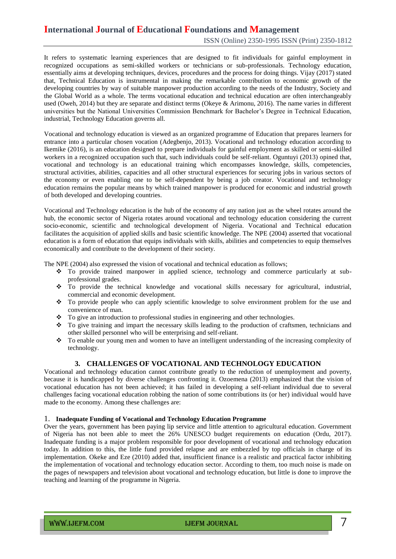## **International Journal of Educational Foundations and Management**

It refers to systematic learning experiences that are designed to fit individuals for gainful employment in recognized occupations as semi-skilled workers or technicians or sub-professionals. Technology education, essentially aims at developing techniques, devices, procedures and the process for doing things. Vijay (2017) stated that, Technical Education is instrumental in making the remarkable contribution to economic growth of the developing countries by way of suitable manpower production according to the needs of the Industry, Society and the Global World as a whole. The terms vocational education and technical education are often interchangeably used (Oweh, 2014) but they are separate and distinct terms (Okeye & Arimonu, 2016). The name varies in different universities but the National Universities Commission Benchmark for Bachelor's Degree in Technical Education, industrial, Technology Education governs all.

Vocational and technology education is viewed as an organized programme of Education that prepares learners for entrance into a particular chosen vocation (Adegbenjo, 2013). Vocational and technology education according to Ikemike (2016), is an education designed to prepare individuals for gainful employment as skilled or semi-skilled workers in a recognized occupation such that, such individuals could be self-reliant. Oguntuyi (2013) opined that, vocational and technology is an educational training which encompasses knowledge, skills, competencies, structural activities, abilities, capacities and all other structural experiences for securing jobs in various sectors of the economy or even enabling one to be self-dependent by being a job creator. Vocational and technology education remains the popular means by which trained manpower is produced for economic and industrial growth of both developed and developing countries.

Vocational and Technology education is the hub of the economy of any nation just as the wheel rotates around the hub, the economic sector of Nigeria rotates around vocational and technology education considering the current socio-economic, scientific and technological development of Nigeria. Vocational and Technical education facilitates the acquisition of applied skills and basic scientific knowledge. The NPE (2004) asserted that vocational education is a form of education that equips individuals with skills, abilities and competencies to equip themselves economically and contribute to the development of their society.

The NPE (2004) also expressed the vision of vocational and technical education as follows;

- To provide trained manpower in applied science, technology and commerce particularly at subprofessional grades.
- \* To provide the technical knowledge and vocational skills necessary for agricultural, industrial, commercial and economic development.
- \* To provide people who can apply scientific knowledge to solve environment problem for the use and convenience of man.
- $\bullet$  To give an introduction to professional studies in engineering and other technologies.
- To give training and impart the necessary skills leading to the production of craftsmen, technicians and other skilled personnel who will be enterprising and self-reliant.
- \* To enable our young men and women to have an intelligent understanding of the increasing complexity of technology.

## **3. CHALLENGES OF VOCATIONAL AND TECHNOLOGY EDUCATION**

Vocational and technology education cannot contribute greatly to the reduction of unemployment and poverty, because it is handicapped by diverse challenges confronting it. Ozoemena (2013) emphasized that the vision of vocational education has not been achieved; it has failed in developing a self-reliant individual due to several challenges facing vocational education robbing the nation of some contributions its (or her) individual would have made to the economy. Among these challenges are:

#### 1. **Inadequate Funding of Vocational and Technology Education Programme**

Over the years, government has been paying lip service and little attention to agricultural education. Government of Nigeria has not been able to meet the 26% UNESCO budget requirements on education (Ordu, 2017). Inadequate funding is a major problem responsible for poor development of vocational and technology education today. In addition to this, the little fund provided relapse and are embezzled by top officials in charge of its implementation. Okeke and Eze (2010) added that, insufficient finance is a realistic and practical factor inhibiting the implementation of vocational and technology education sector. According to them, too much noise is made on the pages of newspapers and television about vocational and technology education, but little is done to improve the teaching and learning of the programme in Nigeria.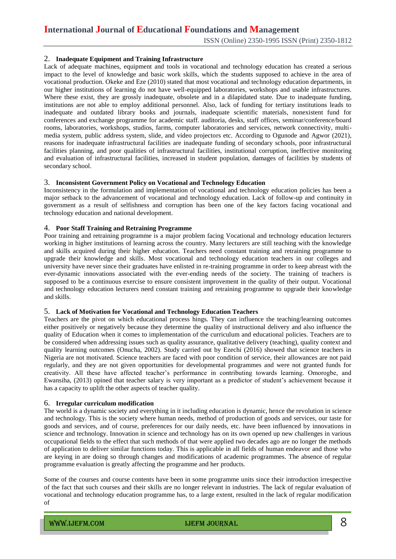ISSN (Online) 2350-1995 ISSN (Print) 2350-1812

#### 2. **Inadequate Equipment and Training Infrastructure**

Lack of adequate machines, equipment and tools in vocational and technology education has created a serious impact to the level of knowledge and basic work skills, which the students supposed to achieve in the area of vocational production. Okeke and Eze (2010) stated that most vocational and technology education departments, in our higher institutions of learning do not have well-equipped laboratories, workshops and usable infrastructures. Where these exist, they are grossly inadequate, obsolete and in a dilapidated state. Due to inadequate funding, institutions are not able to employ additional personnel. Also, lack of funding for tertiary institutions leads to inadequate and outdated library books and journals, inadequate scientific materials, nonexistent fund for conferences and exchange programme for academic staff. auditoria, desks, staff offices, seminar/conference/board rooms, laboratories, workshops, studios, farms, computer laboratories and services, network connectivity, multimedia system, public address system, slide, and video projectors etc. According to Ogunode and Agwor (2021), reasons for inadequate infrastructural facilities are inadequate funding of secondary schools, poor infrastructural facilities planning, and poor qualities of infrastructural facilities, institutional corruption, ineffective monitoring and evaluation of infrastructural facilities, increased in student population, damages of facilities by students of secondary school.

#### 3. **Inconsistent Government Policy on Vocational and Technology Education**

Inconsistency in the formulation and implementation of vocational and technology education policies has been a major setback to the advancement of vocational and technology education. Lack of follow-up and continuity in government as a result of selfishness and corruption has been one of the key factors facing vocational and technology education and national development.

## 4. **Poor Staff Training and Retraining Programme**

Poor training and retraining programme is a major problem facing Vocational and technology education lecturers working in higher institutions of learning across the country. Many lecturers are still teaching with the knowledge and skills acquired during their higher education. Teachers need constant training and retraining programme to upgrade their knowledge and skills. Most vocational and technology education teachers in our colleges and university have never since their graduates have enlisted in re-training programme in order to keep abreast with the ever-dynamic innovations associated with the ever-ending needs of the society. The training of teachers is supposed to be a continuous exercise to ensure consistent improvement in the quality of their output. Vocational and technology education lecturers need constant training and retraining programme to upgrade their knowledge and skills.

#### 5. **Lack of Motivation for Vocational and Technology Education Teachers**

Teachers are the pivot on which educational process hings. They can influence the teaching/learning outcomes either positively or negatively because they determine the quality of instructional delivery and also influence the quality of Education when it comes to implementation of the curriculum and educational policies. Teachers are to be considered when addressing issues such as quality assurance, qualitative delivery (teaching), quality context and quality learning outcomes (Onucha, 2002). Study carried out by Ezechi (2016) showed that science teachers in Nigeria are not motivated. Science teachers are faced with poor condition of service, their allowances are not paid regularly, and they are not given opportunities for developmental programmes and were not granted funds for creativity. All these have affected teacher's performance in contributing towards learning. Omorogbe, and Ewansiha, (2013) opined that teacher salary is very important as a predictor of student's achievement because it has a capacity to uplift the other aspects of teacher quality.

#### 6. **Irregular curriculum modification**

The world is a dynamic society and everything in it including education is dynamic, hence the revolution in science and technology. This is the society where human needs, method of production of goods and services, our taste for goods and services, and of course, preferences for our daily needs, etc. have been influenced by innovations in science and technology. Innovation in science and technology has on its own opened up new challenges in various occupational fields to the effect that such methods of that were applied two decades ago are no longer the methods of application to deliver similar functions today. This is applicable in all fields of human endeavor and those who are keying in are doing so through changes and modifications of academic programmes. The absence of regular programme evaluation is greatly affecting the programme and her products.

Some of the courses and course contents have been in some programme units since their introduction irrespective of the fact that such courses and their skills are no longer relevant in industries. The lack of regular evaluation of vocational and technology education programme has, to a large extent, resulted in the lack of regular modification of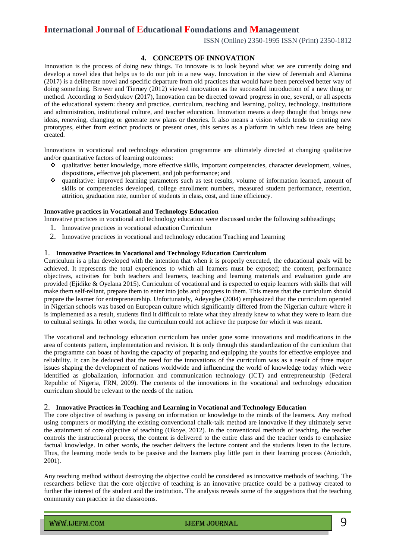## **International Journal of Educational Foundations and Management**

ISSN (Online) 2350-1995 ISSN (Print) 2350-1812

## **4. CONCEPTS OF INNOVATION**

Innovation is the process of doing new things. To innovate is to look beyond what we are currently doing and develop a novel idea that helps us to do our job in a new way. Innovation in the view of Jeremiah and Alamina (2017) is a deliberate novel and specific departure from old practices that would have been perceived better way of doing something. Brewer and Tierney (2012) viewed innovation as the successful introduction of a new thing or method. According to Serdyukov (2017), Innovation can be directed toward progress in one, several, or all aspects of the educational system: theory and practice, curriculum, teaching and learning, policy, technology, institutions and administration, institutional culture, and teacher education. Innovation means a deep thought that brings new ideas, renewing, changing or generate new plans or theories. It also means a vision which tends to creating new prototypes, either from extinct products or present ones, this serves as a platform in which new ideas are being created.

Innovations in vocational and technology education programme are ultimately directed at changing qualitative and/or quantitative factors of learning outcomes:

- qualitative: better knowledge, more effective skills, important competencies, character development, values, dispositions, effective job placement, and job performance; and
- quantitative: improved learning parameters such as test results, volume of information learned, amount of skills or competencies developed, college enrollment numbers, measured student performance, retention, attrition, graduation rate, number of students in class, cost, and time efficiency.

## **Innovative practices in Vocational and Technology Education**

Innovative practices in vocational and technology education were discussed under the following subheadings;

- 1. Innovative practices in vocational education Curriculum
- 2. Innovative practices in vocational and technology education Teaching and Learning

#### 1. **Innovative Practices in Vocational and Technology Education Curriculum**

Curriculum is a plan developed with the intention that when it is properly executed, the educational goals will be achieved. It represents the total experiences to which all learners must be exposed; the content, performance objectives, activities for both teachers and learners, teaching and learning materials and evaluation guide are provided (Ejidike & Oyelana 2015). Curriculum of vocational and is expected to equip learners with skills that will make them self-reliant, prepare them to enter into jobs and progress in them. This means that the curriculum should prepare the learner for entrepreneurship. Unfortunately, Adeyegbe (2004) emphasized that the curriculum operated in Nigerian schools was based on European culture which significantly differed from the Nigerian culture where it is implemented as a result, students find it difficult to relate what they already knew to what they were to learn due to cultural settings. In other words, the curriculum could not achieve the purpose for which it was meant.

The vocational and technology education curriculum has under gone some innovations and modifications in the area of contents pattern, implementation and revision. It is only through this standardization of the curriculum that the programme can boast of having the capacity of preparing and equipping the youths for effective employee and reliability. It can be deduced that the need for the innovations of the curriculum was as a result of three major issues shaping the development of nations worldwide and influencing the world of knowledge today which were identified as globalization, information and communication technology (ICT) and entrepreneurship (Federal Republic of Nigeria, FRN, 2009). The contents of the innovations in the vocational and technology education curriculum should be relevant to the needs of the nation.

#### 2. **Innovative Practices in Teaching and Learning in Vocational and Technology Education**

The core objective of teaching is passing on information or knowledge to the minds of the learners. Any method using computers or modifying the existing conventional chalk-talk method are innovative if they ultimately serve the attainment of core objective of teaching (Okoye, 2012). In the conventional methods of teaching, the teacher controls the instructional process, the content is delivered to the entire class and the teacher tends to emphasize factual knowledge. In other words, the teacher delivers the lecture content and the students listen to the lecture. Thus, the learning mode tends to be passive and the learners play little part in their learning process (Aniodoh, 2001).

Any teaching method without destroying the objective could be considered as innovative methods of teaching. The researchers believe that the core objective of teaching is an innovative practice could be a pathway created to further the interest of the student and the institution. The analysis reveals some of the suggestions that the teaching community can practice in the classrooms.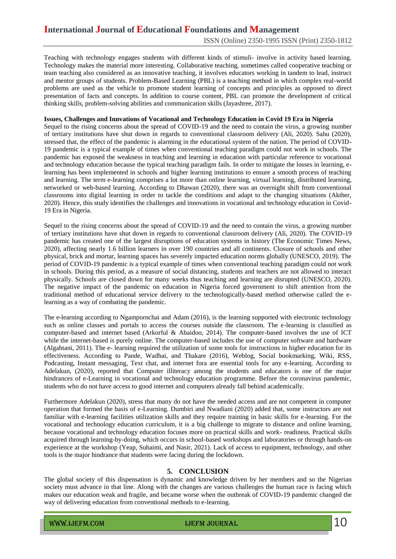Teaching with technology engages students with different kinds of stimuli- involve in activity based learning. Technology makes the material more interesting. Collaborative teaching, sometimes called cooperative teaching or team teaching also considered as an innovative teaching, it involves educators working in tandem to lead, instruct and mentor groups of students. Problem-Based Learning (PBL) is a teaching method in which complex real-world problems are used as the vehicle to promote student learning of concepts and principles as opposed to direct presentation of facts and concepts. In addition to course content, PBL can promote the development of critical thinking skills, problem-solving abilities and communication skills (Jayashree, 2017).

#### **Issues, Challenges and Innvations of Vocational and Technology Education in Covid 19 Era in Nigeria**

Sequel to the rising concerns about the spread of COVID-19 and the need to contain the virus, a growing number of tertiary institutions have shut down in regards to conventional classroom delivery (Ali, 2020). Sahu (2020), stressed that, the effect of the pandemic is alarming in the educational system of the nation. The period of COVID-19 pandemic is a typical example of times when conventional teaching paradigm could not work in schools. The pandemic has exposed the weakness in teaching and learning in education with particular reference to vocational and technology education because the typical teaching paradigm fails. In order to mitigate the losses in learning, elearning has been implemented in schools and higher learning institutions to ensure a smooth process of teaching and learning. The term e-learning comprises a lot more than online learning, virtual learning, distributed learning, networked or web-based learning. According to Dhawan (2020), there was an overnight shift from conventional classrooms into digital learning in order to tackle the conditions and adapt to the changing situations (Akther, 2020). Hence, this study identifies the challenges and innovations in vocational and technology education in Covid-19 Era in Nigeria.

Sequel to the rising concerns about the spread of COVID-19 and the need to contain the virus, a growing number of tertiary institutions have shut down in regards to conventional classroom delivery (Ali, 2020). The COVID-19 pandemic has created one of the largest disruptions of education systems in history (The Economic Times News, 2020), affecting nearly 1.6 billion learners in over 190 countries and all continents. Closure of schools and other physical, brick and mortar, learning spaces has severely impacted education norms globally (UNESCO, 2019). The period of COVID-19 pandemic is a typical example of times when conventional teaching paradigm could not work in schools. During this period, as a measure of social distancing, students and teachers are not allowed to interact physically. Schools are closed down for many weeks thus teaching and learning are disrupted (UNESCO, 2020). The negative impact of the pandemic on education in Nigeria forced government to shift attention from the traditional method of educational service delivery to the technologically-based method otherwise called the elearning as a way of combating the pandemic.

The e-learning according to Ngampornchai and Adam (2016), is the learning supported with electronic technology such as online classes and portals to access the courses outside the classroom. The e-learning is classified as computer-based and internet based (Arkorful & Abaidoo, 2014). The computer-based involves the use of ICT while the internet-based is purely online. The computer-based includes the use of computer software and hardware (Algahtani, 2011). The e- learning required the utilization of some tools for instructions in higher education for its effectiveness. According to Pande, Wadhai, and Thakare (2016), Weblog, Social bookmarking, Wiki, RSS, Podcasting, Instant messaging, Text chat, and internet fora are essential tools for any e-learning. According to Adelakun, (2020), reported that Computer illiteracy among the students and educators is one of the major hindrances of e-Learning in vocational and technology education programme. Before the coronavirus pandemic, students who do not have access to good internet and computers already fall behind academically.

Furthermore Adelakun (2020), stress that many do not have the needed access and are not competent in computer operation that formed the basis of e-Learning. Dumbiri and Nwadiani (2020) added that, some instructors are not familiar with e-learning facilities utilization skills and they require training in basic skills for e-learning. For the vocational and technology education curriculum, it is a big challenge to migrate to distance and online learning, because vocational and technology education focuses more on practical skills and work- readiness. Practical skills acquired through learning-by-doing, which occurs in school-based workshops and laboratories or through hands-on experience at the workshop (Yeap, Suhaimi, and Nasir, 2021). Lack of access to equipment, technology, and other tools is the major hindrance that students were facing during the lockdown.

## **5. CONCLUSION**

The global society of this dispensation is dynamic and knowledge driven by her members and so the Nigerian society must advance in that line. Along with the changes are various challenges the human race is facing which makes our education weak and fragile, and became worse when the outbreak of COVID-19 pandemic changed the way of delivering education from conventional methods to e-learning.

www.ijefm.com  $I$  ijefm journal in  $10$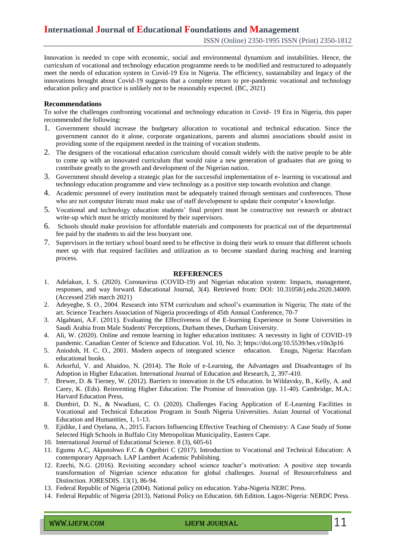Innovation is needed to cope with economic, social and environmental dynamism and instabilities. Hence, the curriculum of vocational and technology education programme needs to be modified and restructured to adequately meet the needs of education system in Covid-19 Era in Nigeria. The efficiency, sustainability and legacy of the innovations brought about Covid-19 suggests that a complete return to pre-pandemic vocational and technology education policy and practice is unlikely not to be reasonably expected. (BC, 2021)

#### **Recommendations**

To solve the challenges confronting vocational and technology education in Covid- 19 Era in Nigeria, this paper recommended the following:

- 1. Government should increase the budgetary allocation to vocational and technical education. Since the government cannot do it alone, corporate organizations, parents and alumni associations should assist in providing some of the equipment needed in the training of vocation students.
- 2. The designers of the vocational education curriculum should consult widely with the native people to be able to come up with an innovated curriculum that would raise a new generation of graduates that are going to contribute greatly to the growth and development of the Nigerian nation.
- 3. Government should develop a strategic plan for the successful implementation of e- learning in vocational and technology education programme and view technology as a positive step towards evolution and change.
- 4. Academic personnel of every institution must be adequately trained through seminars and conferences. Those who are not computer literate must make use of staff development to update their computer's knowledge.
- 5. Vocational and technology education students' final project must be constructive not research or abstract write-up which must be strictly monitored by their supervisors.
- 6. Schools should make provision for affordable materials and components for practical out of the departmental fee paid by the students to aid the less buoyant one.
- 7. Supervisors in the tertiary school board need to be effective in doing their work to ensure that different schools meet up with that required facilities and utilization as to become standard during teaching and learning process.

#### **REFERENCES**

- 1. Adelakun, I. S. (2020). Coronavirus (COVID-19) and Nigerian education system: Impacts, management, responses, and way forward. Educational Journal, 3(4). Retrieved from: DOI: 10.31058/j.edu.2020.34009. (Accessed 25th march 2021)
- 2. Adeyegbe, S. O., 2004. Research into STM curriculum and school's examination in Nigeria; The state of the art. Science Teachers Association of Nigeria proceedings of 45th Annual Conference, 70-7
- 3. Algahtani, A.F. (2011). Evaluating the Effectiveness of the E-learning Experience in Some Universities in Saudi Arabia from Male Students' Perceptions, Durham theses, Durham University.
- 4. Ali, W. (2020). Online and remote learning in higher education institutes: A necessity in light of COVID-19 pandemic. Canadian Center of Science and Education. Vol. 10, No. 3; https://doi.org/10.5539/hes.v10n3p16
- 5. Aniodoh, H. C. O., 2001. Modern aspects of integrated science education. Enugu, Nigeria: Hacofam educational books.
- 6. Arkorful, V. and Abaidoo, N. (2014). The Role of e-Learning, the Advantages and Disadvantages of Its Adoption in Higher Education. International Journal of Education and Research, 2, 397-410.
- 7. Brewer, D. & Tierney, W. (2012). Barriers to innovation in the US education. In Wildavsky, B., Kelly, A. and Carey, K. (Eds). Reinventing Higher Education: The Promise of Innovation (pp. 11-40). Cambridge, M.A.: Harvard Education Press,
- 8. Dumbiri, D. N., & Nwadiani, C. O. (2020). Challenges Facing Application of E-Learning Facilities in Vocational and Technical Education Program in South Nigeria Universities. Asian Journal of Vocational Education and Humanities, 1, 1-13.
- 9. Ejidike, I and Oyelana, A., 2015. Factors Influencing Effective Teaching of Chemistry: A Case Study of Some Selected High Schools in Buffalo City Metropolitan Municipality, Eastern Cape.
- 10. International Journal of Educational Science. 8 (3), 605-61
- 11. Egumu A.C, Akpotohwo F.C & Ogeibiri C (2017). Introduction to Vocational and Technical Education: A contemporary Approach. LAP Lambert Academic Publishing.
- 12. Ezechi, N.G. (2016). Revisiting secondary school science teacher's motivation: A positive step towards transformation of Nigerian science education for global challenges. Journal of Resourcefulness and Distinction. JORESDIS. 13(1), 86-94.
- 13. Federal Republic of Nigeria (2004). National policy on education. Yaba-Nigeria NERC Press.
- 14. Federal Republic of Nigeria (2013). National Policy on Education. 6th Edition. Lagos-Nigeria: NERDC Press.